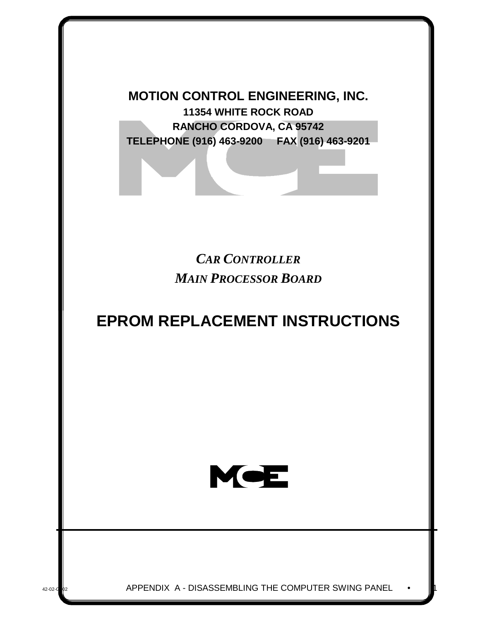**MOTION CONTROL ENGINEERING, INC. 11354 WHITE ROCK ROAD RANCHO CORDOVA, CA 95742 TELEPHONE (916) 463-9200 FAX (916) 463-9201**

> *CAR CONTROLLER MAIN PROCESSOR BOARD*

# **EPROM REPLACEMENT INSTRUCTIONS**



42-02-G<sub>02</sub> APPENDIX A - DISASSEMBLING THE COMPUTER SWING PANEL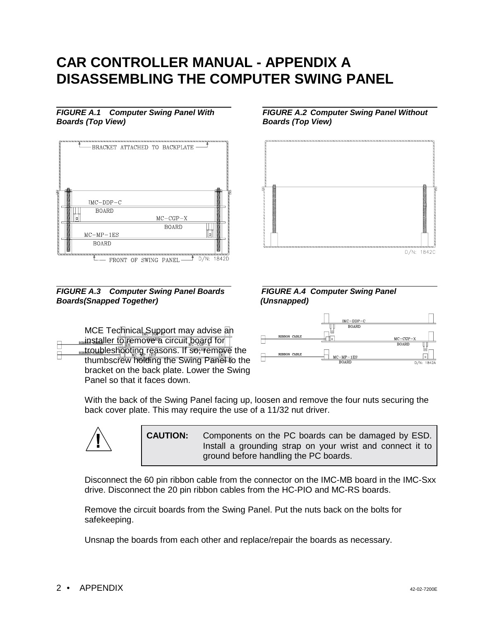## **CAR CONTROLLER MANUAL - APPENDIX A DISASSEMBLING THE COMPUTER SWING PANEL**

#### *FIGURE A.1 Computer Swing Panel With FIGURE A.2 Computer Swing Panel Without Boards (Top View) Boards (Top View)*



*FIGURE A.3 Computer Swing Panel Boards FIGURE A.4 Computer Swing Panel Boards(Snapped Together) (Unsnapped)*

MCE Technical Support may advise an **RIBISTALLER TO FEMOVE A CITCUIT board for** Rustroubleshooting reasons. If so, remove the thumbscrew holding the Swing Panel to the bracket on the back plate. Lower the Swing Panel so that it faces down.



D/N: 1842C





With the back of the Swing Panel facing up, loosen and remove the four nuts securing the back cover plate. This may require the use of a 11/32 nut driver.



**CAUTION:** Components on the PC boards can be damaged by ESD. Install a grounding strap on your wrist and connect it to ground before handling the PC boards.

Disconnect the 60 pin ribbon cable from the connector on the IMC-MB board in the IMC-Sxx drive. Disconnect the 20 pin ribbon cables from the HC-PIO and MC-RS boards.

Remove the circuit boards from the Swing Panel. Put the nuts back on the bolts for safekeeping.

Unsnap the boards from each other and replace/repair the boards as necessary.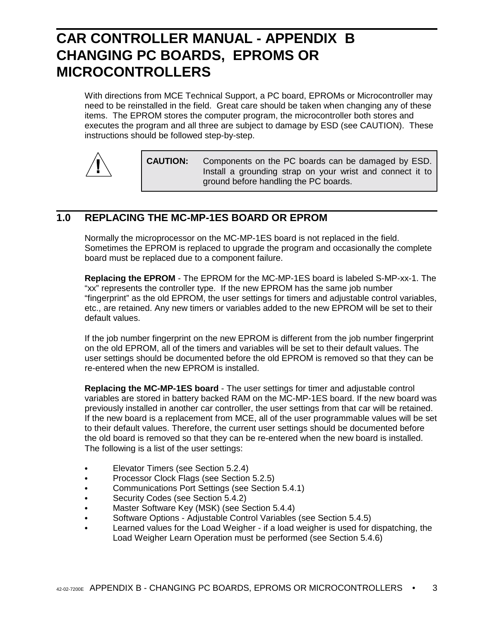## **CAR CONTROLLER MANUAL - APPENDIX B CHANGING PC BOARDS, EPROMS OR MICROCONTROLLERS**

With directions from MCE Technical Support, a PC board, EPROMs or Microcontroller may need to be reinstalled in the field. Great care should be taken when changing any of these items. The EPROM stores the computer program, the microcontroller both stores and executes the program and all three are subject to damage by ESD (see CAUTION). These instructions should be followed step-by-step.



**CAUTION:** Components on the PC boards can be damaged by ESD. Install a grounding strap on your wrist and connect it to ground before handling the PC boards.

### **1.0 REPLACING THE MC-MP-1ES BOARD OR EPROM**

Normally the microprocessor on the MC-MP-1ES board is not replaced in the field. Sometimes the EPROM is replaced to upgrade the program and occasionally the complete board must be replaced due to a component failure.

**Replacing the EPROM** - The EPROM for the MC-MP-1ES board is labeled S-MP-xx-1. The "xx" represents the controller type. If the new EPROM has the same job number "fingerprint" as the old EPROM, the user settings for timers and adjustable control variables, etc., are retained. Any new timers or variables added to the new EPROM will be set to their default values.

If the job number fingerprint on the new EPROM is different from the job number fingerprint on the old EPROM, all of the timers and variables will be set to their default values. The user settings should be documented before the old EPROM is removed so that they can be re-entered when the new EPROM is installed.

**Replacing the MC-MP-1ES board** - The user settings for timer and adjustable control variables are stored in battery backed RAM on the MC-MP-1ES board. If the new board was previously installed in another car controller, the user settings from that car will be retained. If the new board is a replacement from MCE, all of the user programmable values will be set to their default values. Therefore, the current user settings should be documented before the old board is removed so that they can be re-entered when the new board is installed. The following is a list of the user settings:

- ` Elevator Timers (see Section 5.2.4)
- Processor Clock Flags (see Section 5.2.5)
- ` Communications Port Settings (see Section 5.4.1)
- Security Codes (see Section 5.4.2)
- ` Master Software Key (MSK) (see Section 5.4.4)
- Software Options Adjustable Control Variables (see Section 5.4.5)
- Learned values for the Load Weigher if a load weigher is used for dispatching, the Load Weigher Learn Operation must be performed (see Section 5.4.6)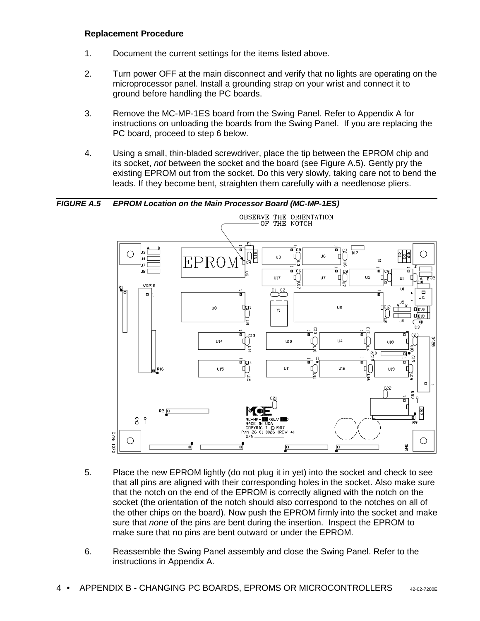#### **Replacement Procedure**

- 1. Document the current settings for the items listed above.
- 2. Turn power OFF at the main disconnect and verify that no lights are operating on the microprocessor panel. Install a grounding strap on your wrist and connect it to ground before handling the PC boards.
- 3. Remove the MC-MP-1ES board from the Swing Panel. Refer to Appendix A for instructions on unloading the boards from the Swing Panel. If you are replacing the PC board, proceed to step 6 below.
- 4. Using a small, thin-bladed screwdriver, place the tip between the EPROM chip and its socket, *not* between the socket and the board (see Figure A.5). Gently pry the existing EPROM out from the socket. Do this very slowly, taking care not to bend the leads. If they become bent, straighten them carefully with a needlenose pliers.

*FIGURE A.5 EPROM Location on the Main Processor Board (MC-MP-1ES)* OBSERVE THE ORIENTATION OF THE NOTCH 'n o je  $\overline{\mathbf{m}}$  $\overline{117}$ ٩명  $\bigcirc$ ◯  $\int_{\Xi}$ U6  $\overline{u}$ Г  $\mathbf{I}$ **FPRO**  $\overline{S}1$  $\overline{a}$  $\overline{u}$  $U17$  $U<sub>7</sub>$ П  $U1$ VSP18  $\overline{\bigcirc_{\mathsf{CS}}^{\mathsf{C2}}}$  $\overline{111}$  $\overline{\blacksquare}$ ă  $\blacksquare$  $\overline{a}$  $111$ u2 U8 Фдт  $\prod C1Z$  $Y1$  $\square$ pis  $\square$  D18 듧  $\overline{\mathbb{G}}$ d  $\overline{\mathbf{u}}_2^2$  $\frac{1}{2}$  $\overline{a}$  $C13$  $U14$  $\Gamma$ **U10** ď  $\overline{114}$ 4) Г **U18** ۸Ĩ<br>88 Ĕ <u>명</u>0  $\blacksquare$  $G12$ ħ .<br>0 7c14 Ф  $U11$ ď U16  $\mathsf{R}^{16}$ **U15** ЧŪ U19 ς.  $\blacksquare$  $C22$ 3  $\mathsf{P}$  $\overline{\mathsf{m}}$ П  $R17$ R2 0 á  $\overline{z}$  ? PYRIGHT 01987<br>26-01-0026 (REV 4)  $\frac{1}{2}$ O О  $0701$ ŝ, oÌ 厘

- 5. Place the new EPROM lightly (do not plug it in yet) into the socket and check to see that all pins are aligned with their corresponding holes in the socket. Also make sure that the notch on the end of the EPROM is correctly aligned with the notch on the socket (the orientation of the notch should also correspond to the notches on all of the other chips on the board). Now push the EPROM firmly into the socket and make sure that *none* of the pins are bent during the insertion. Inspect the EPROM to make sure that no pins are bent outward or under the EPROM.
- 6. Reassemble the Swing Panel assembly and close the Swing Panel. Refer to the instructions in Appendix A.